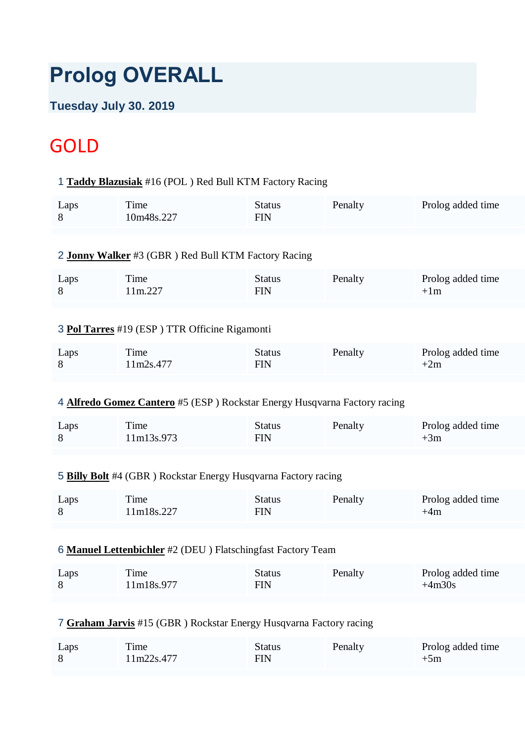# **Prolog OVERALL**

### **Tuesday July 30. 2019**

# **GOLD**

#### 1 **[Taddy Blazusiak](https://www.redbullromaniacs.com/for-competitors/profile/?e=rbr2019&b=16)** #16 (POL ) Red Bull KTM Factory Racing

| Laps<br>8                                                          | Time<br>10m48s.227                                                               | <b>Status</b><br><b>FIN</b> | Penalty | Prolog added time             |  |
|--------------------------------------------------------------------|----------------------------------------------------------------------------------|-----------------------------|---------|-------------------------------|--|
|                                                                    | 2 Jonny Walker #3 (GBR) Red Bull KTM Factory Racing                              |                             |         |                               |  |
| Laps<br>8                                                          | Time<br>11m.227                                                                  | <b>Status</b><br><b>FIN</b> | Penalty | Prolog added time<br>$+1m$    |  |
|                                                                    | 3 Pol Tarres #19 (ESP) TTR Officine Rigamonti                                    |                             |         |                               |  |
| Laps<br>8                                                          | Time<br>11m2s.477                                                                | <b>Status</b><br><b>FIN</b> | Penalty | Prolog added time<br>$+2m$    |  |
|                                                                    | 4 <b>Alfredo Gomez Cantero</b> #5 (ESP) Rockstar Energy Husqvarna Factory racing |                             |         |                               |  |
| Laps<br>8                                                          | Time<br>11m13s.973                                                               | <b>Status</b><br><b>FIN</b> | Penalty | Prolog added time<br>$+3m$    |  |
|                                                                    | 5 Billy Bolt #4 (GBR) Rockstar Energy Husqvarna Factory racing                   |                             |         |                               |  |
| Laps<br>8                                                          | Time<br>11m18s.227                                                               | <b>Status</b><br><b>FIN</b> | Penalty | Prolog added time<br>$+4m$    |  |
| 6 Manuel Lettenbichler #2 (DEU) Flatschingfast Factory Team        |                                                                                  |                             |         |                               |  |
| Laps<br>8                                                          | Time<br>11m18s.977                                                               | <b>Status</b><br><b>FIN</b> | Penalty | Prolog added time<br>$+4m30s$ |  |
| 7 Graham Jarvis #15 (GBR) Rockstar Energy Husqvarna Factory racing |                                                                                  |                             |         |                               |  |
| Laps<br>8                                                          | Time<br>11m22s.477                                                               | <b>Status</b><br><b>FIN</b> | Penalty | Prolog added time<br>$+5m$    |  |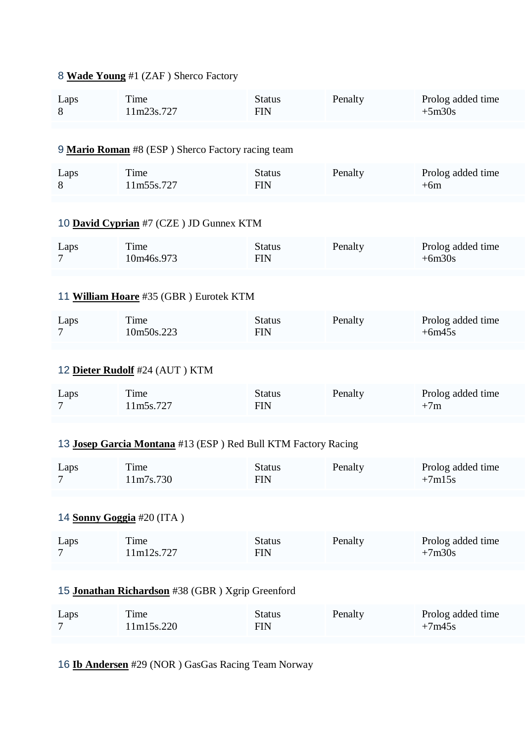## 8 **[Wade Young](https://www.redbullromaniacs.com/for-competitors/profile/?e=rbr2019&b=1)** #1 (ZAF ) Sherco Factory

| Laps<br>8                                        | Time<br>11m23s.727                                            | <b>Status</b><br><b>FIN</b> | Penalty | Prolog added time<br>$+5m30s$ |  |
|--------------------------------------------------|---------------------------------------------------------------|-----------------------------|---------|-------------------------------|--|
|                                                  |                                                               |                             |         |                               |  |
|                                                  | 9 Mario Roman #8 (ESP) Sherco Factory racing team             |                             |         |                               |  |
| Laps<br>8                                        | Time<br>11m55s.727                                            | <b>Status</b><br><b>FIN</b> | Penalty | Prolog added time<br>$+6m$    |  |
|                                                  | 10 David Cyprian #7 (CZE) JD Gunnex KTM                       |                             |         |                               |  |
| Laps<br>7                                        | Time<br>10m46s.973                                            | <b>Status</b><br><b>FIN</b> | Penalty | Prolog added time<br>$+6m30s$ |  |
|                                                  |                                                               |                             |         |                               |  |
|                                                  | 11 William Hoare #35 (GBR) Eurotek KTM                        |                             |         |                               |  |
| Laps<br>$\overline{7}$                           | Time<br>10m50s.223                                            | <b>Status</b><br><b>FIN</b> | Penalty | Prolog added time<br>$+6m45s$ |  |
|                                                  | 12 Dieter Rudolf #24 (AUT) KTM                                |                             |         |                               |  |
| Laps<br>7                                        | Time<br>11m5s.727                                             | <b>Status</b><br><b>FIN</b> | Penalty | Prolog added time<br>$+7m$    |  |
|                                                  |                                                               |                             |         |                               |  |
|                                                  | 13 Josep Garcia Montana #13 (ESP) Red Bull KTM Factory Racing |                             |         |                               |  |
| Laps<br>$7\degree$                               | Time<br>11m7s.730                                             | <b>Status</b><br><b>FIN</b> | Penalty | Prolog added time<br>$+7m15s$ |  |
|                                                  |                                                               |                             |         |                               |  |
| 14 Sonny Goggia #20 (ITA)                        |                                                               |                             |         |                               |  |
| Laps<br>7                                        | Time<br>11m12s.727                                            | <b>Status</b><br><b>FIN</b> | Penalty | Prolog added time<br>$+7m30s$ |  |
|                                                  |                                                               |                             |         |                               |  |
| 15 Jonathan Richardson #38 (GBR) Xgrip Greenford |                                                               |                             |         |                               |  |
| Laps<br>7                                        | Time<br>11m15s.220                                            | <b>Status</b><br><b>FIN</b> | Penalty | Prolog added time<br>$+7m45s$ |  |
|                                                  |                                                               |                             |         |                               |  |

16 **[Ib Andersen](https://www.redbullromaniacs.com/for-competitors/profile/?e=rbr2019&b=29)** #29 (NOR ) GasGas Racing Team Norway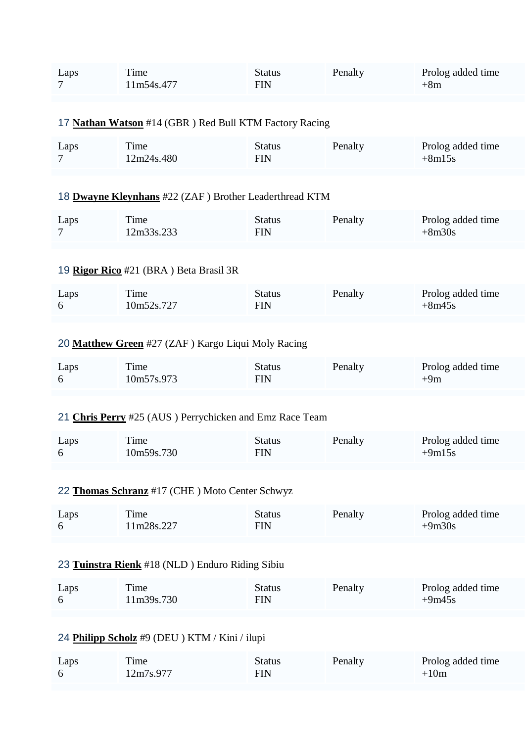| Laps<br>7                                       | Time<br>11m54s.477                                      | <b>Status</b><br><b>FIN</b> | Penalty | Prolog added time<br>$+8m$    |  |
|-------------------------------------------------|---------------------------------------------------------|-----------------------------|---------|-------------------------------|--|
|                                                 |                                                         |                             |         |                               |  |
|                                                 | 17 Nathan Watson #14 (GBR) Red Bull KTM Factory Racing  |                             |         |                               |  |
| Laps<br>7                                       | Time<br>12m24s.480                                      | <b>Status</b><br><b>FIN</b> | Penalty | Prolog added time<br>$+8m15s$ |  |
|                                                 | 18 Dwayne Kleynhans #22 (ZAF) Brother Leaderthread KTM  |                             |         |                               |  |
| Laps<br>7                                       | Time<br>12m33s.233                                      | <b>Status</b><br><b>FIN</b> | Penalty | Prolog added time<br>$+8m30s$ |  |
|                                                 | 19 Rigor Rico #21 (BRA) Beta Brasil 3R                  |                             |         |                               |  |
| Laps<br>6                                       | Time<br>10m52s.727                                      | <b>Status</b><br><b>FIN</b> | Penalty | Prolog added time<br>$+8m45s$ |  |
|                                                 |                                                         |                             |         |                               |  |
|                                                 | 20 Matthew Green #27 (ZAF) Kargo Liqui Moly Racing      |                             |         |                               |  |
| Laps<br>6                                       | Time<br>10m57s.973                                      | <b>Status</b><br><b>FIN</b> | Penalty | Prolog added time<br>$+9m$    |  |
|                                                 | 21 Chris Perry #25 (AUS) Perrychicken and Emz Race Team |                             |         |                               |  |
| Laps<br>6                                       | Time<br>10m59s.730                                      | <b>Status</b><br><b>FIN</b> | Penalty | Prolog added time<br>$+9m15s$ |  |
|                                                 | 22 Thomas Schranz #17 (CHE) Moto Center Schwyz          |                             |         |                               |  |
|                                                 |                                                         |                             |         |                               |  |
| Laps<br>6                                       | Time<br>11m28s.227                                      | <b>Status</b><br><b>FIN</b> | Penalty | Prolog added time<br>$+9m30s$ |  |
|                                                 |                                                         |                             |         |                               |  |
| 23 Tuinstra Rienk #18 (NLD) Enduro Riding Sibiu |                                                         |                             |         |                               |  |
| Laps<br>6                                       | Time<br>11m39s.730                                      | <b>Status</b><br><b>FIN</b> | Penalty | Prolog added time<br>$+9m45s$ |  |
|                                                 |                                                         |                             |         |                               |  |
|                                                 | 24 Philipp Scholz #9 (DEU) KTM / Kini / ilupi           |                             |         |                               |  |
| Laps                                            | Time                                                    | <b>Status</b>               | Penalty | Prolog added time             |  |
| 6                                               | 12m7s.977                                               | <b>FIN</b>                  |         | $+10m$                        |  |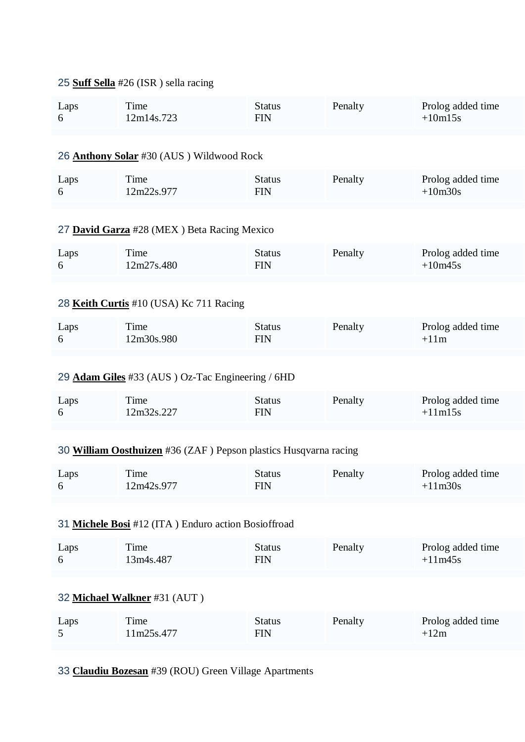#### 25 **[Suff Sella](https://www.redbullromaniacs.com/for-competitors/profile/?e=rbr2019&b=26)** #26 (ISR ) sella racing

| Laps<br>6                                           | Time<br>12m14s.723                                               | <b>Status</b><br><b>FIN</b> | Penalty | Prolog added time<br>$+10m15s$ |  |
|-----------------------------------------------------|------------------------------------------------------------------|-----------------------------|---------|--------------------------------|--|
|                                                     |                                                                  |                             |         |                                |  |
|                                                     | 26 Anthony Solar #30 (AUS) Wildwood Rock                         |                             |         |                                |  |
| Laps<br>6                                           | Time<br>12m22s.977                                               | <b>Status</b><br><b>FIN</b> | Penalty | Prolog added time<br>$+10m30s$ |  |
|                                                     |                                                                  |                             |         |                                |  |
|                                                     | 27 David Garza #28 (MEX) Beta Racing Mexico                      |                             |         |                                |  |
| Laps<br>6                                           | Time<br>12m27s.480                                               | <b>Status</b><br><b>FIN</b> | Penalty | Prolog added time<br>$+10m45s$ |  |
|                                                     |                                                                  |                             |         |                                |  |
|                                                     | 28 Keith Curtis #10 (USA) Kc 711 Racing                          |                             |         |                                |  |
| Laps<br>6                                           | Time<br>12m30s.980                                               | <b>Status</b><br><b>FIN</b> | Penalty | Prolog added time<br>$+11m$    |  |
|                                                     |                                                                  |                             |         |                                |  |
|                                                     | 29 Adam Giles #33 (AUS) Oz-Tac Engineering / 6HD                 |                             |         |                                |  |
| Laps<br>6                                           | Time<br>12m32s.227                                               | <b>Status</b><br><b>FIN</b> | Penalty | Prolog added time<br>$+11m15s$ |  |
|                                                     |                                                                  |                             |         |                                |  |
|                                                     | 30 William Oosthuizen #36 (ZAF) Pepson plastics Husqvarna racing |                             |         |                                |  |
| Laps<br>რ —                                         | Time<br>12m42s.977                                               | <b>Status</b><br><b>FIN</b> | Penalty | Prolog added time<br>$+11m30s$ |  |
|                                                     |                                                                  |                             |         |                                |  |
| 31 Michele Bosi #12 (ITA) Enduro action Bosioffroad |                                                                  |                             |         |                                |  |
| Laps<br>6                                           | Time<br>13m4s.487                                                | <b>Status</b><br><b>FIN</b> | Penalty | Prolog added time<br>$+11m45s$ |  |
|                                                     |                                                                  |                             |         |                                |  |
| 32 Michael Walkner #31 (AUT)                        |                                                                  |                             |         |                                |  |
| Laps<br>5                                           | Time<br>11m25s.477                                               | <b>Status</b><br><b>FIN</b> | Penalty | Prolog added time<br>$+12m$    |  |
|                                                     |                                                                  |                             |         |                                |  |

33 **[Claudiu Bozesan](https://www.redbullromaniacs.com/for-competitors/profile/?e=rbr2019&b=39)** #39 (ROU) Green Village Apartments